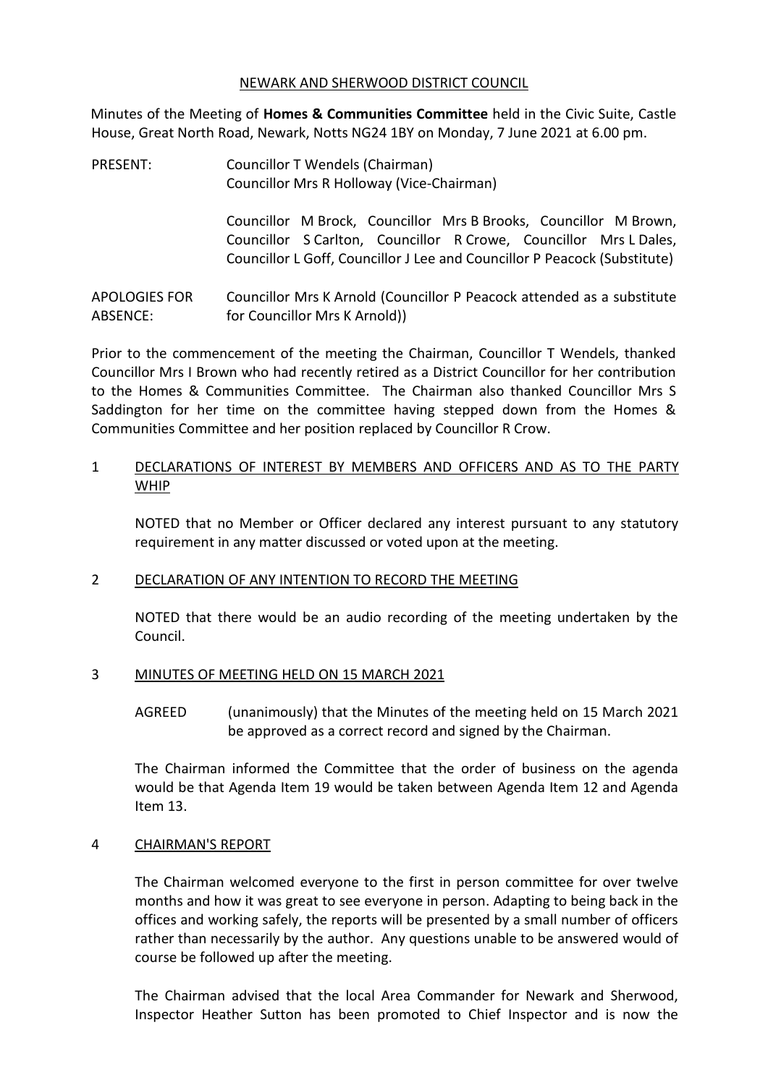#### NEWARK AND SHERWOOD DISTRICT COUNCIL

Minutes of the Meeting of **Homes & Communities Committee** held in the Civic Suite, Castle House, Great North Road, Newark, Notts NG24 1BY on Monday, 7 June 2021 at 6.00 pm.

PRESENT: Councillor T Wendels (Chairman) Councillor Mrs R Holloway (Vice-Chairman)

> Councillor M Brock, Councillor Mrs B Brooks, Councillor M Brown, Councillor S Carlton, Councillor R Crowe, Councillor Mrs L Dales, Councillor L Goff, Councillor J Lee and Councillor P Peacock (Substitute)

APOLOGIES FOR ABSENCE: Councillor Mrs K Arnold (Councillor P Peacock attended as a substitute for Councillor Mrs K Arnold))

Prior to the commencement of the meeting the Chairman, Councillor T Wendels, thanked Councillor Mrs I Brown who had recently retired as a District Councillor for her contribution to the Homes & Communities Committee. The Chairman also thanked Councillor Mrs S Saddington for her time on the committee having stepped down from the Homes & Communities Committee and her position replaced by Councillor R Crow.

### 1 DECLARATIONS OF INTEREST BY MEMBERS AND OFFICERS AND AS TO THE PARTY WHIP

NOTED that no Member or Officer declared any interest pursuant to any statutory requirement in any matter discussed or voted upon at the meeting.

## 2 DECLARATION OF ANY INTENTION TO RECORD THE MEETING

NOTED that there would be an audio recording of the meeting undertaken by the Council.

#### 3 MINUTES OF MEETING HELD ON 15 MARCH 2021

AGREED (unanimously) that the Minutes of the meeting held on 15 March 2021 be approved as a correct record and signed by the Chairman.

The Chairman informed the Committee that the order of business on the agenda would be that Agenda Item 19 would be taken between Agenda Item 12 and Agenda Item 13.

#### 4 CHAIRMAN'S REPORT

The Chairman welcomed everyone to the first in person committee for over twelve months and how it was great to see everyone in person. Adapting to being back in the offices and working safely, the reports will be presented by a small number of officers rather than necessarily by the author. Any questions unable to be answered would of course be followed up after the meeting.

The Chairman advised that the local Area Commander for Newark and Sherwood, Inspector Heather Sutton has been promoted to Chief Inspector and is now the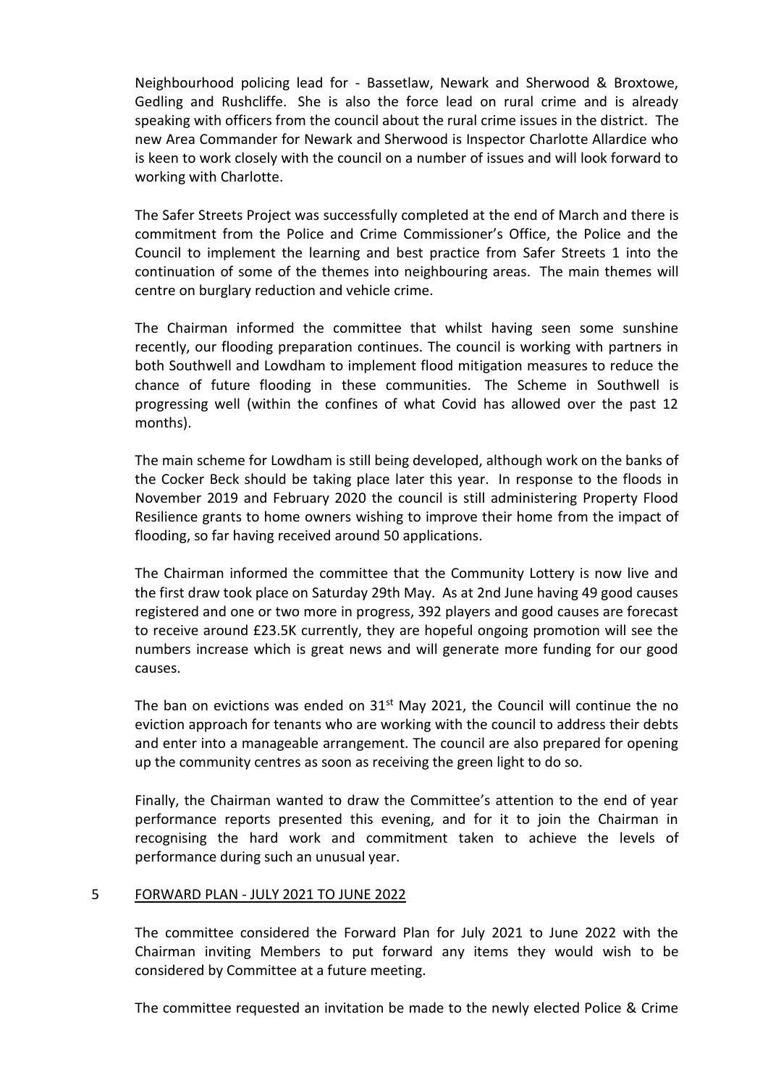Neighbourhood policing lead for - Bassetlaw, Newark and Sherwood & Broxtowe, Gedling and Rushcliffe. She is also the force lead on rural crime and is already speaking with officers from the council about the rural crime issues in the district. The new Area Commander for Newark and Sherwood is Inspector Charlotte Allardice who is keen to work closely with the council on a number of issues and will look forward to working with Charlotte.

The Safer Streets Project was successfully completed at the end of March and there is commitment from the Police and Crime Commissioner's Office, the Police and the Council to implement the learning and best practice from Safer Streets 1 into the continuation of some of the themes into neighbouring areas. The main themes will centre on burglary reduction and vehicle crime.

The Chairman informed the committee that whilst having seen some sunshine recently, our flooding preparation continues. The council is working with partners in both Southwell and Lowdham to implement flood mitigation measures to reduce the chance of future flooding in these communities. The Scheme in Southwell is progressing well (within the confines of what Covid has allowed over the past 12 months).

The main scheme for Lowdham is still being developed, although work on the banks of the Cocker Beck should be taking place later this year. In response to the floods in November 2019 and February 2020 the council is still administering Property Flood Resilience grants to home owners wishing to improve their home from the impact of flooding, so far having received around 50 applications.

The Chairman informed the committee that the Community Lottery is now live and the first draw took place on Saturday 29th May. As at 2nd June having 49 good causes registered and one or two more in progress, 392 players and good causes are forecast to receive around £23.5K currently, they are hopeful ongoing promotion will see the numbers increase which is great news and will generate more funding for our good causes.

The ban on evictions was ended on  $31<sup>st</sup>$  May 2021, the Council will continue the no eviction approach for tenants who are working with the council to address their debts and enter into a manageable arrangement. The council are also prepared for opening up the community centres as soon as receiving the green light to do so.

Finally, the Chairman wanted to draw the Committee's attention to the end of year performance reports presented this evening, and for it to join the Chairman in recognising the hard work and commitment taken to achieve the levels of performance during such an unusual year.

#### 5 FORWARD PLAN - JULY 2021 TO JUNE 2022

The committee considered the Forward Plan for July 2021 to June 2022 with the Chairman inviting Members to put forward any items they would wish to be considered by Committee at a future meeting.

The committee requested an invitation be made to the newly elected Police & Crime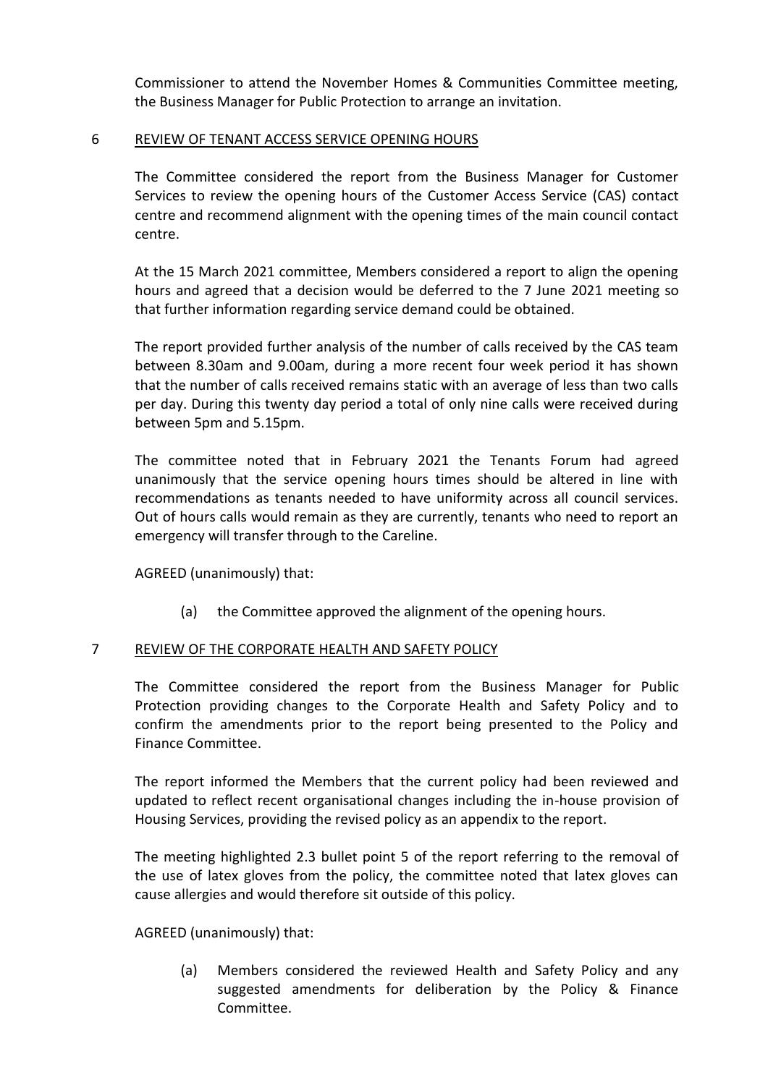Commissioner to attend the November Homes & Communities Committee meeting, the Business Manager for Public Protection to arrange an invitation.

#### 6 REVIEW OF TENANT ACCESS SERVICE OPENING HOURS

The Committee considered the report from the Business Manager for Customer Services to review the opening hours of the Customer Access Service (CAS) contact centre and recommend alignment with the opening times of the main council contact centre.

At the 15 March 2021 committee, Members considered a report to align the opening hours and agreed that a decision would be deferred to the 7 June 2021 meeting so that further information regarding service demand could be obtained.

The report provided further analysis of the number of calls received by the CAS team between 8.30am and 9.00am, during a more recent four week period it has shown that the number of calls received remains static with an average of less than two calls per day. During this twenty day period a total of only nine calls were received during between 5pm and 5.15pm.

The committee noted that in February 2021 the Tenants Forum had agreed unanimously that the service opening hours times should be altered in line with recommendations as tenants needed to have uniformity across all council services. Out of hours calls would remain as they are currently, tenants who need to report an emergency will transfer through to the Careline.

AGREED (unanimously) that:

(a) the Committee approved the alignment of the opening hours.

#### 7 REVIEW OF THE CORPORATE HEALTH AND SAFETY POLICY

The Committee considered the report from the Business Manager for Public Protection providing changes to the Corporate Health and Safety Policy and to confirm the amendments prior to the report being presented to the Policy and Finance Committee.

The report informed the Members that the current policy had been reviewed and updated to reflect recent organisational changes including the in-house provision of Housing Services, providing the revised policy as an appendix to the report.

The meeting highlighted 2.3 bullet point 5 of the report referring to the removal of the use of latex gloves from the policy, the committee noted that latex gloves can cause allergies and would therefore sit outside of this policy.

AGREED (unanimously) that:

(a) Members considered the reviewed Health and Safety Policy and any suggested amendments for deliberation by the Policy & Finance Committee.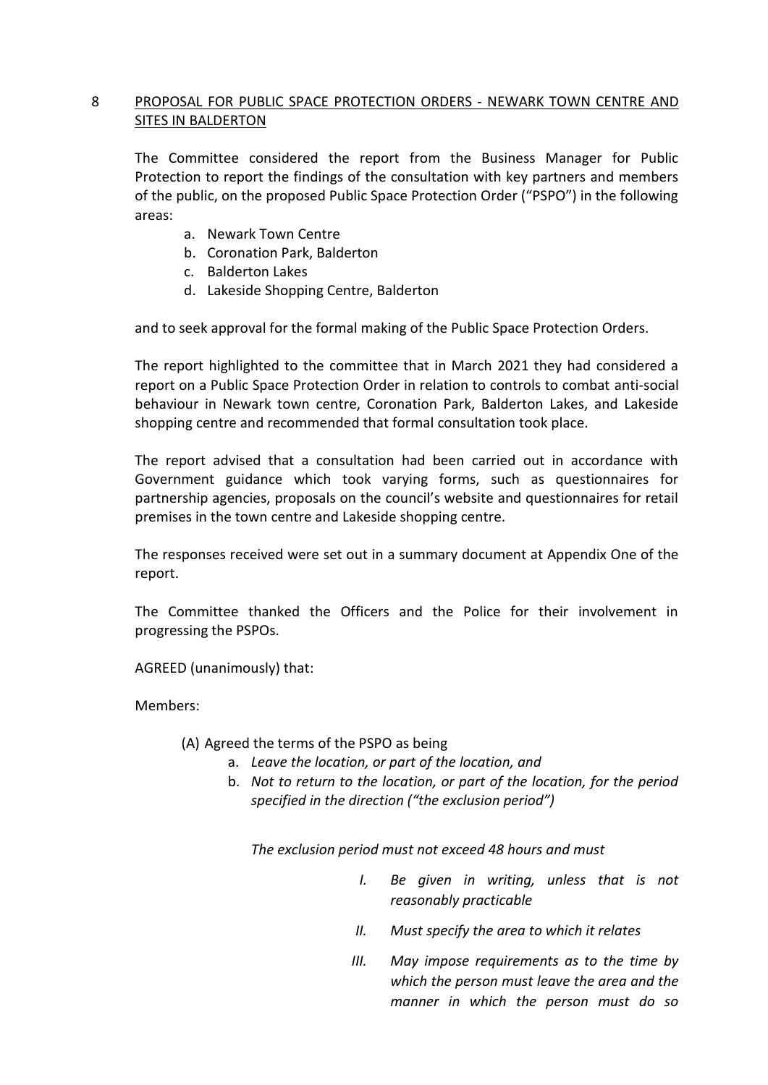# 8 PROPOSAL FOR PUBLIC SPACE PROTECTION ORDERS - NEWARK TOWN CENTRE AND SITES IN BALDERTON

The Committee considered the report from the Business Manager for Public Protection to report the findings of the consultation with key partners and members of the public, on the proposed Public Space Protection Order ("PSPO") in the following areas:

- a. Newark Town Centre
- b. Coronation Park, Balderton
- c. Balderton Lakes
- d. Lakeside Shopping Centre, Balderton

and to seek approval for the formal making of the Public Space Protection Orders.

The report highlighted to the committee that in March 2021 they had considered a report on a Public Space Protection Order in relation to controls to combat anti-social behaviour in Newark town centre, Coronation Park, Balderton Lakes, and Lakeside shopping centre and recommended that formal consultation took place.

The report advised that a consultation had been carried out in accordance with Government guidance which took varying forms, such as questionnaires for partnership agencies, proposals on the council's website and questionnaires for retail premises in the town centre and Lakeside shopping centre.

The responses received were set out in a summary document at Appendix One of the report.

The Committee thanked the Officers and the Police for their involvement in progressing the PSPOs.

AGREED (unanimously) that:

Members:

## (A) Agreed the terms of the PSPO as being

- a. *Leave the location, or part of the location, and*
- b. *Not to return to the location, or part of the location, for the period specified in the direction ("the exclusion period")*

*The exclusion period must not exceed 48 hours and must* 

- *I. Be given in writing, unless that is not reasonably practicable*
- *II. Must specify the area to which it relates*
- *III. May impose requirements as to the time by which the person must leave the area and the manner in which the person must do so*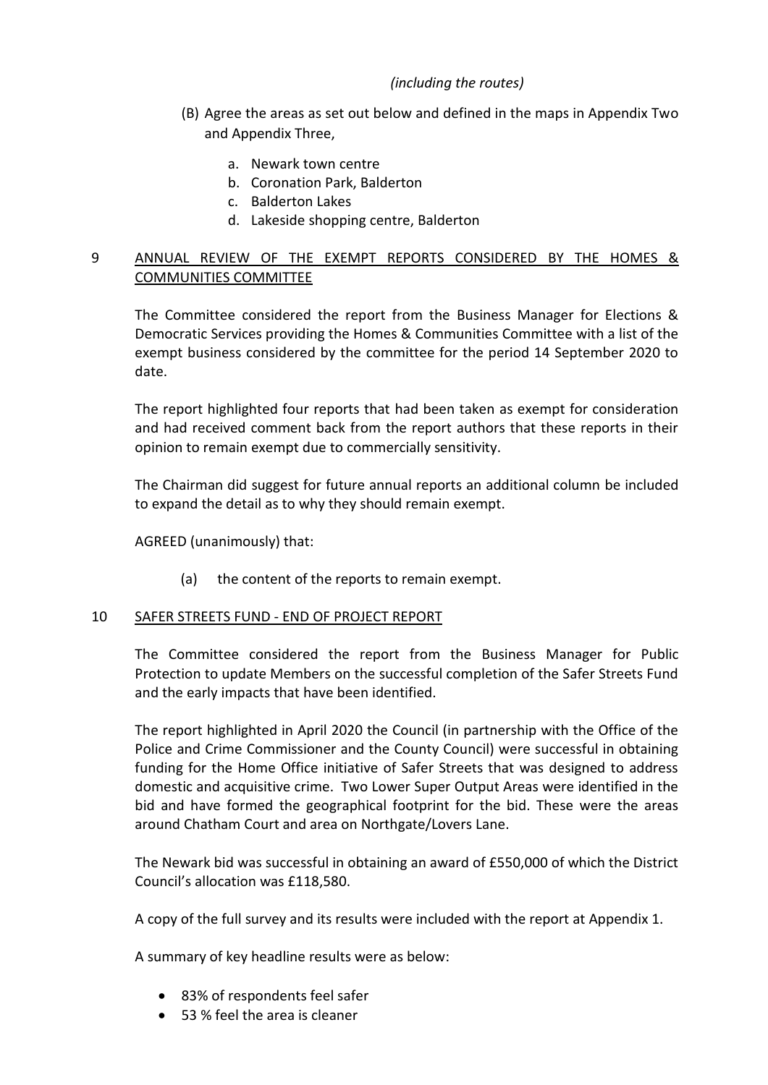# *(including the routes)*

- (B) Agree the areas as set out below and defined in the maps in Appendix Two and Appendix Three,
	- a. Newark town centre
	- b. Coronation Park, Balderton
	- c. Balderton Lakes
	- d. Lakeside shopping centre, Balderton

## 9 ANNUAL REVIEW OF THE EXEMPT REPORTS CONSIDERED BY THE HOMES & COMMUNITIES COMMITTEE

The Committee considered the report from the Business Manager for Elections & Democratic Services providing the Homes & Communities Committee with a list of the exempt business considered by the committee for the period 14 September 2020 to date.

The report highlighted four reports that had been taken as exempt for consideration and had received comment back from the report authors that these reports in their opinion to remain exempt due to commercially sensitivity.

The Chairman did suggest for future annual reports an additional column be included to expand the detail as to why they should remain exempt.

AGREED (unanimously) that:

(a) the content of the reports to remain exempt.

#### 10 SAFER STREETS FUND - END OF PROJECT REPORT

The Committee considered the report from the Business Manager for Public Protection to update Members on the successful completion of the Safer Streets Fund and the early impacts that have been identified.

The report highlighted in April 2020 the Council (in partnership with the Office of the Police and Crime Commissioner and the County Council) were successful in obtaining funding for the Home Office initiative of Safer Streets that was designed to address domestic and acquisitive crime. Two Lower Super Output Areas were identified in the bid and have formed the geographical footprint for the bid. These were the areas around Chatham Court and area on Northgate/Lovers Lane.

The Newark bid was successful in obtaining an award of £550,000 of which the District Council's allocation was £118,580.

A copy of the full survey and its results were included with the report at Appendix 1.

A summary of key headline results were as below:

- 83% of respondents feel safer
- 53 % feel the area is cleaner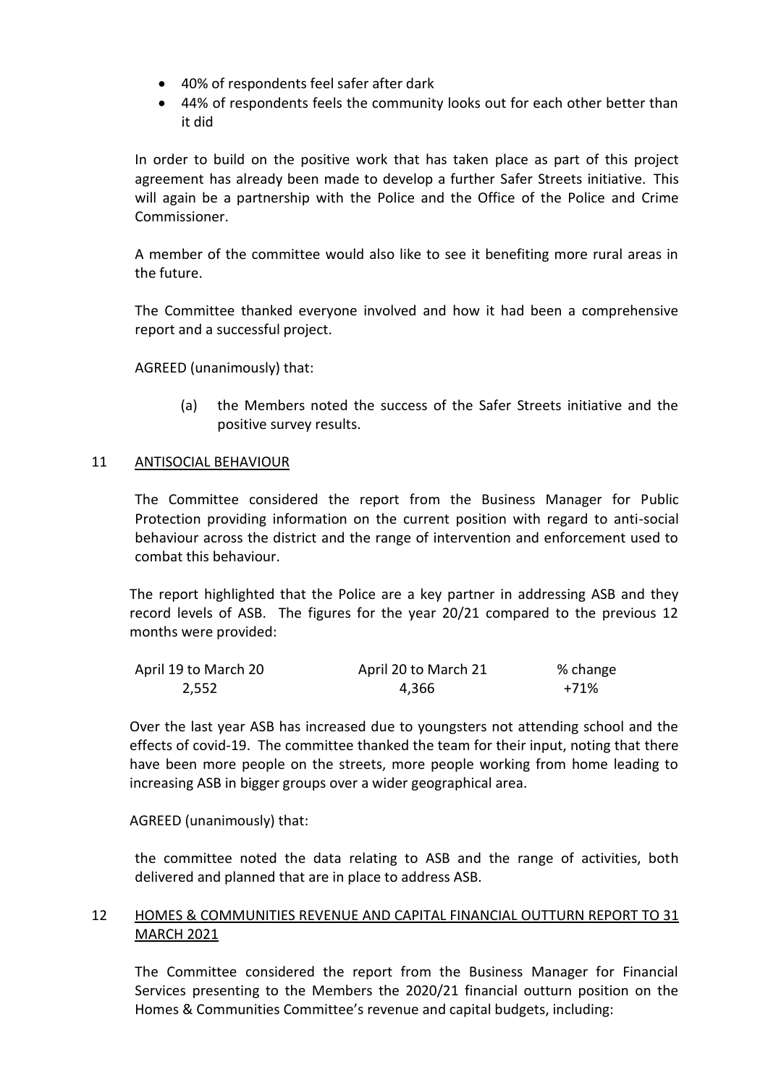- 40% of respondents feel safer after dark
- 44% of respondents feels the community looks out for each other better than it did

In order to build on the positive work that has taken place as part of this project agreement has already been made to develop a further Safer Streets initiative. This will again be a partnership with the Police and the Office of the Police and Crime Commissioner.

A member of the committee would also like to see it benefiting more rural areas in the future.

The Committee thanked everyone involved and how it had been a comprehensive report and a successful project.

AGREED (unanimously) that:

(a) the Members noted the success of the Safer Streets initiative and the positive survey results.

#### 11 ANTISOCIAL BEHAVIOUR

The Committee considered the report from the Business Manager for Public Protection providing information on the current position with regard to anti-social behaviour across the district and the range of intervention and enforcement used to combat this behaviour.

The report highlighted that the Police are a key partner in addressing ASB and they record levels of ASB. The figures for the year 20/21 compared to the previous 12 months were provided:

| April 19 to March 20 | April 20 to March 21 | % change |
|----------------------|----------------------|----------|
| 2,552                | 4.366                | +71%     |

Over the last year ASB has increased due to youngsters not attending school and the effects of covid-19. The committee thanked the team for their input, noting that there have been more people on the streets, more people working from home leading to increasing ASB in bigger groups over a wider geographical area.

AGREED (unanimously) that:

the committee noted the data relating to ASB and the range of activities, both delivered and planned that are in place to address ASB.

## 12 HOMES & COMMUNITIES REVENUE AND CAPITAL FINANCIAL OUTTURN REPORT TO 31 MARCH 2021

The Committee considered the report from the Business Manager for Financial Services presenting to the Members the 2020/21 financial outturn position on the Homes & Communities Committee's revenue and capital budgets, including: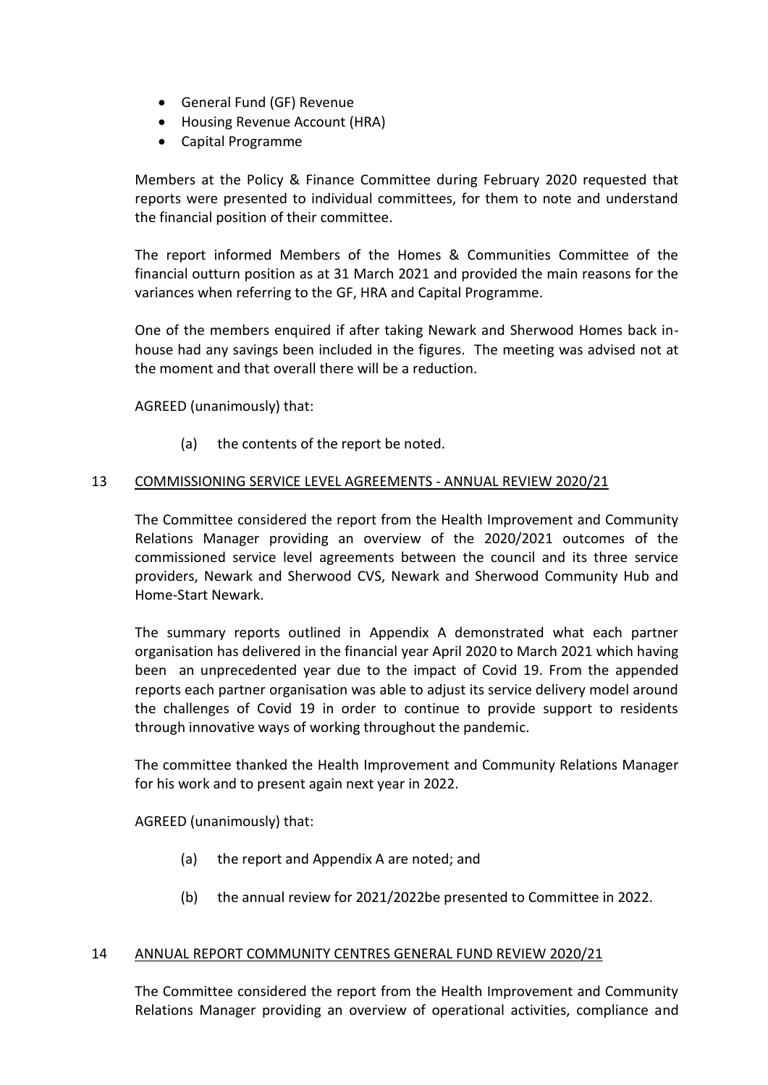- General Fund (GF) Revenue
- Housing Revenue Account (HRA)
- Capital Programme

Members at the Policy & Finance Committee during February 2020 requested that reports were presented to individual committees, for them to note and understand the financial position of their committee.

The report informed Members of the Homes & Communities Committee of the financial outturn position as at 31 March 2021 and provided the main reasons for the variances when referring to the GF, HRA and Capital Programme.

One of the members enquired if after taking Newark and Sherwood Homes back inhouse had any savings been included in the figures. The meeting was advised not at the moment and that overall there will be a reduction.

AGREED (unanimously) that:

(a) the contents of the report be noted.

### 13 COMMISSIONING SERVICE LEVEL AGREEMENTS - ANNUAL REVIEW 2020/21

The Committee considered the report from the Health Improvement and Community Relations Manager providing an overview of the 2020/2021 outcomes of the commissioned service level agreements between the council and its three service providers, Newark and Sherwood CVS, Newark and Sherwood Community Hub and Home-Start Newark.

The summary reports outlined in Appendix A demonstrated what each partner organisation has delivered in the financial year April 2020 to March 2021 which having been an unprecedented year due to the impact of Covid 19. From the appended reports each partner organisation was able to adjust its service delivery model around the challenges of Covid 19 in order to continue to provide support to residents through innovative ways of working throughout the pandemic.

The committee thanked the Health Improvement and Community Relations Manager for his work and to present again next year in 2022.

AGREED (unanimously) that:

- (a) the report and Appendix A are noted; and
- (b) the annual review for 2021/2022be presented to Committee in 2022.

#### 14 ANNUAL REPORT COMMUNITY CENTRES GENERAL FUND REVIEW 2020/21

The Committee considered the report from the Health Improvement and Community Relations Manager providing an overview of operational activities, compliance and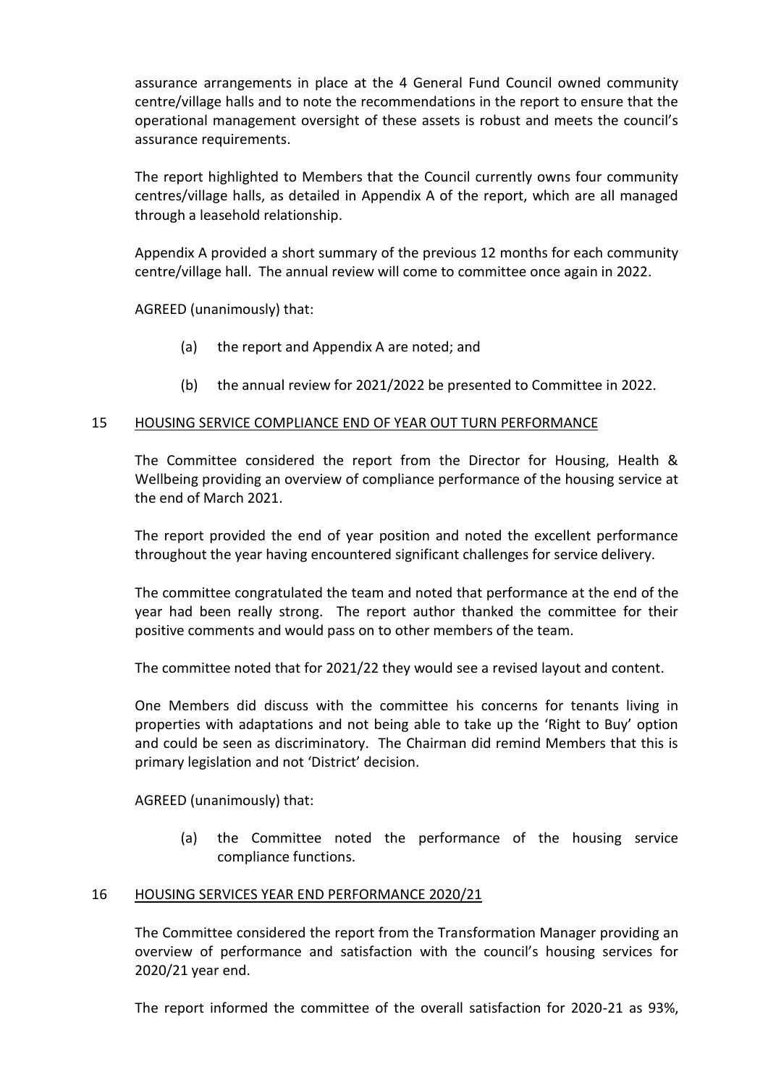assurance arrangements in place at the 4 General Fund Council owned community centre/village halls and to note the recommendations in the report to ensure that the operational management oversight of these assets is robust and meets the council's assurance requirements.

The report highlighted to Members that the Council currently owns four community centres/village halls, as detailed in Appendix A of the report, which are all managed through a leasehold relationship.

Appendix A provided a short summary of the previous 12 months for each community centre/village hall. The annual review will come to committee once again in 2022.

AGREED (unanimously) that:

- (a) the report and Appendix A are noted; and
- (b) the annual review for 2021/2022 be presented to Committee in 2022.

#### 15 HOUSING SERVICE COMPLIANCE END OF YEAR OUT TURN PERFORMANCE

The Committee considered the report from the Director for Housing, Health & Wellbeing providing an overview of compliance performance of the housing service at the end of March 2021.

The report provided the end of year position and noted the excellent performance throughout the year having encountered significant challenges for service delivery.

The committee congratulated the team and noted that performance at the end of the year had been really strong. The report author thanked the committee for their positive comments and would pass on to other members of the team.

The committee noted that for 2021/22 they would see a revised layout and content.

One Members did discuss with the committee his concerns for tenants living in properties with adaptations and not being able to take up the 'Right to Buy' option and could be seen as discriminatory. The Chairman did remind Members that this is primary legislation and not 'District' decision.

AGREED (unanimously) that:

(a) the Committee noted the performance of the housing service compliance functions.

#### 16 HOUSING SERVICES YEAR END PERFORMANCE 2020/21

The Committee considered the report from the Transformation Manager providing an overview of performance and satisfaction with the council's housing services for 2020/21 year end.

The report informed the committee of the overall satisfaction for 2020-21 as 93%,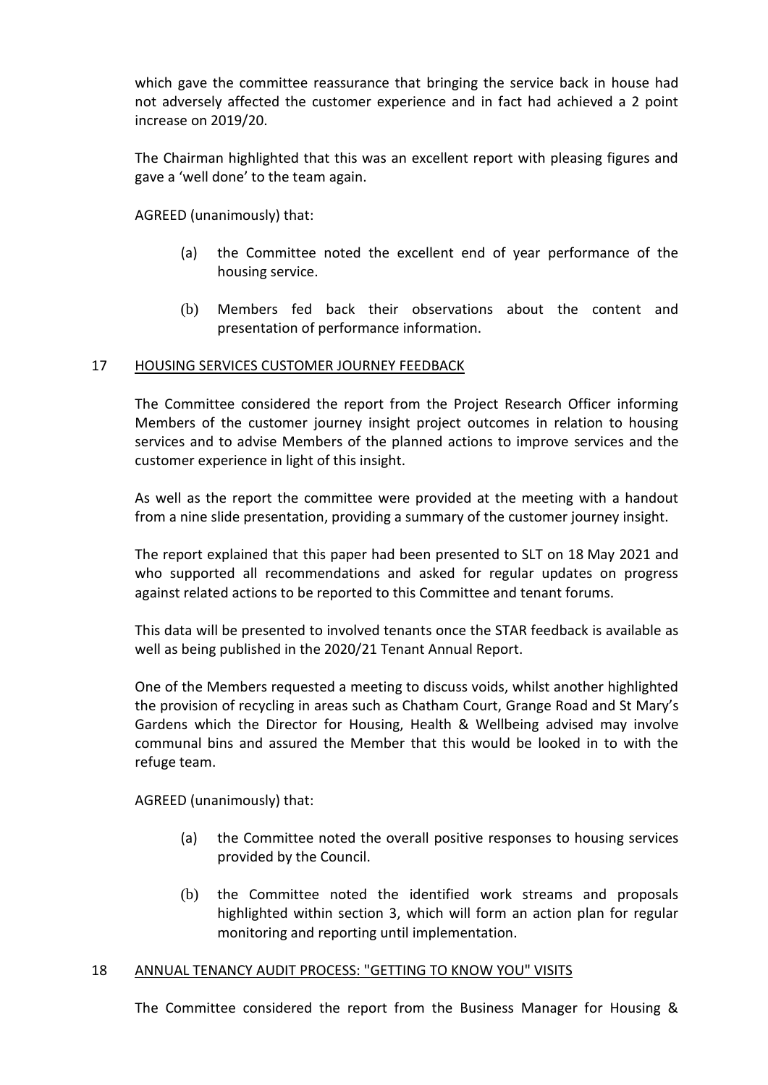which gave the committee reassurance that bringing the service back in house had not adversely affected the customer experience and in fact had achieved a 2 point increase on 2019/20.

The Chairman highlighted that this was an excellent report with pleasing figures and gave a 'well done' to the team again.

AGREED (unanimously) that:

- (a) the Committee noted the excellent end of year performance of the housing service.
- (b) Members fed back their observations about the content and presentation of performance information.

#### 17 HOUSING SERVICES CUSTOMER JOURNEY FEEDBACK

The Committee considered the report from the Project Research Officer informing Members of the customer journey insight project outcomes in relation to housing services and to advise Members of the planned actions to improve services and the customer experience in light of this insight.

As well as the report the committee were provided at the meeting with a handout from a nine slide presentation, providing a summary of the customer journey insight.

The report explained that this paper had been presented to SLT on 18 May 2021 and who supported all recommendations and asked for regular updates on progress against related actions to be reported to this Committee and tenant forums.

This data will be presented to involved tenants once the STAR feedback is available as well as being published in the 2020/21 Tenant Annual Report.

One of the Members requested a meeting to discuss voids, whilst another highlighted the provision of recycling in areas such as Chatham Court, Grange Road and St Mary's Gardens which the Director for Housing, Health & Wellbeing advised may involve communal bins and assured the Member that this would be looked in to with the refuge team.

AGREED (unanimously) that:

- (a) the Committee noted the overall positive responses to housing services provided by the Council.
- (b) the Committee noted the identified work streams and proposals highlighted within section 3, which will form an action plan for regular monitoring and reporting until implementation.

#### 18 ANNUAL TENANCY AUDIT PROCESS: "GETTING TO KNOW YOU" VISITS

The Committee considered the report from the Business Manager for Housing &